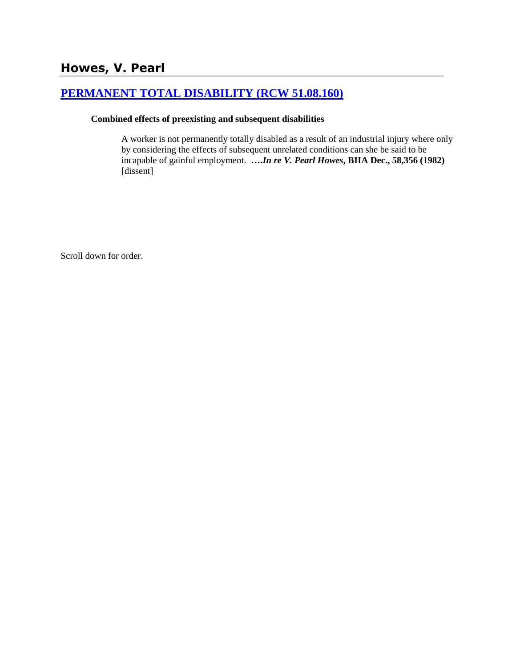# **[PERMANENT TOTAL DISABILITY \(RCW 51.08.160\)](http://www.biia.wa.gov/SDSubjectIndex.html#PERMANENT_TOTAL_DISABILITY)**

#### **Combined effects of preexisting and subsequent disabilities**

A worker is not permanently totally disabled as a result of an industrial injury where only by considering the effects of subsequent unrelated conditions can she be said to be incapable of gainful employment. **….***In re V. Pearl Howes***, BIIA Dec., 58,356 (1982)** [dissent]

Scroll down for order.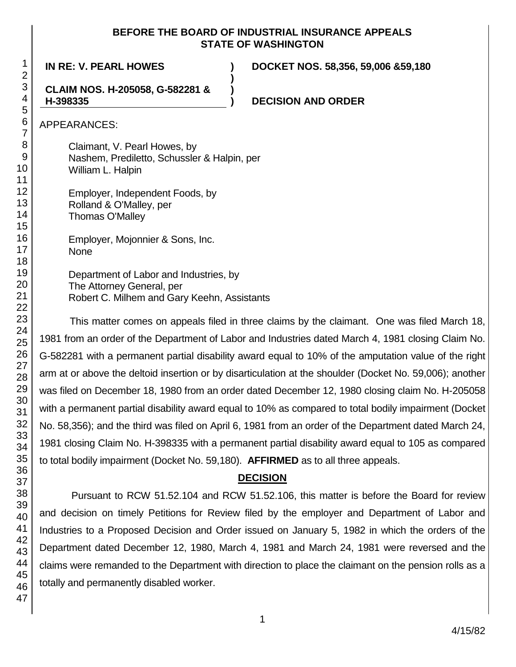### **BEFORE THE BOARD OF INDUSTRIAL INSURANCE APPEALS STATE OF WASHINGTON**

**)**

**)**

**IN RE: V. PEARL HOWES ) DOCKET NOS. 58,356, 59,006 &59,180**

#### **CLAIM NOS. H-205058, G-582281 & H-398335**

**) DECISION AND ORDER**

APPEARANCES:

Claimant, V. Pearl Howes, by Nashem, Prediletto, Schussler & Halpin, per William L. Halpin

Employer, Independent Foods, by Rolland & O'Malley, per Thomas O'Malley

Employer, Mojonnier & Sons, Inc. None

Department of Labor and Industries, by The Attorney General, per Robert C. Milhem and Gary Keehn, Assistants

This matter comes on appeals filed in three claims by the claimant. One was filed March 18, 1981 from an order of the Department of Labor and Industries dated March 4, 1981 closing Claim No. G-582281 with a permanent partial disability award equal to 10% of the amputation value of the right arm at or above the deltoid insertion or by disarticulation at the shoulder (Docket No. 59,006); another was filed on December 18, 1980 from an order dated December 12, 1980 closing claim No. H-205058 with a permanent partial disability award equal to 10% as compared to total bodily impairment (Docket No. 58,356); and the third was filed on April 6, 1981 from an order of the Department dated March 24, 1981 closing Claim No. H-398335 with a permanent partial disability award equal to 105 as compared to total bodily impairment (Docket No. 59,180). **AFFIRMED** as to all three appeals.

# **DECISION**

Pursuant to RCW 51.52.104 and RCW 51.52.106, this matter is before the Board for review and decision on timely Petitions for Review filed by the employer and Department of Labor and Industries to a Proposed Decision and Order issued on January 5, 1982 in which the orders of the Department dated December 12, 1980, March 4, 1981 and March 24, 1981 were reversed and the claims were remanded to the Department with direction to place the claimant on the pension rolls as a totally and permanently disabled worker.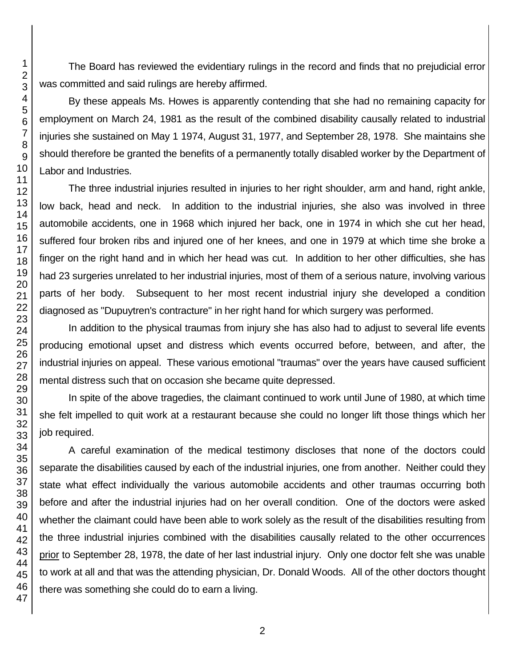The Board has reviewed the evidentiary rulings in the record and finds that no prejudicial error was committed and said rulings are hereby affirmed.

By these appeals Ms. Howes is apparently contending that she had no remaining capacity for employment on March 24, 1981 as the result of the combined disability causally related to industrial injuries she sustained on May 1 1974, August 31, 1977, and September 28, 1978. She maintains she should therefore be granted the benefits of a permanently totally disabled worker by the Department of Labor and Industries.

The three industrial injuries resulted in injuries to her right shoulder, arm and hand, right ankle, low back, head and neck. In addition to the industrial injuries, she also was involved in three automobile accidents, one in 1968 which injured her back, one in 1974 in which she cut her head, suffered four broken ribs and injured one of her knees, and one in 1979 at which time she broke a finger on the right hand and in which her head was cut. In addition to her other difficulties, she has had 23 surgeries unrelated to her industrial injuries, most of them of a serious nature, involving various parts of her body. Subsequent to her most recent industrial injury she developed a condition diagnosed as "Dupuytren's contracture" in her right hand for which surgery was performed.

In addition to the physical traumas from injury she has also had to adjust to several life events producing emotional upset and distress which events occurred before, between, and after, the industrial injuries on appeal. These various emotional "traumas" over the years have caused sufficient mental distress such that on occasion she became quite depressed.

In spite of the above tragedies, the claimant continued to work until June of 1980, at which time she felt impelled to quit work at a restaurant because she could no longer lift those things which her job required.

A careful examination of the medical testimony discloses that none of the doctors could separate the disabilities caused by each of the industrial injuries, one from another. Neither could they state what effect individually the various automobile accidents and other traumas occurring both before and after the industrial injuries had on her overall condition. One of the doctors were asked whether the claimant could have been able to work solely as the result of the disabilities resulting from the three industrial injuries combined with the disabilities causally related to the other occurrences prior to September 28, 1978, the date of her last industrial injury. Only one doctor felt she was unable to work at all and that was the attending physician, Dr. Donald Woods. All of the other doctors thought there was something she could do to earn a living.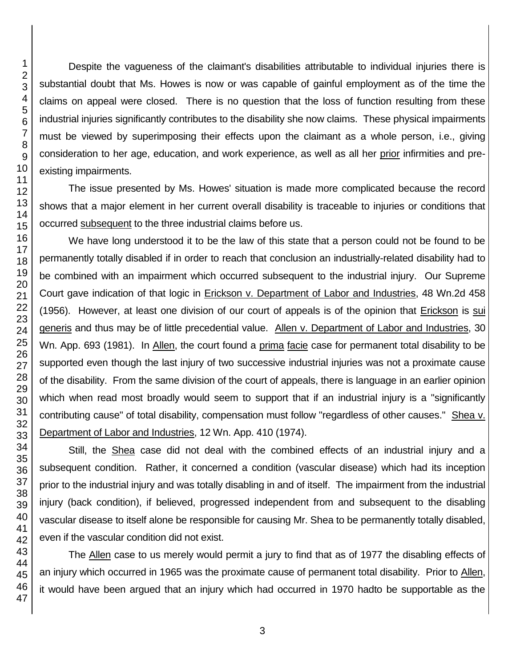Despite the vagueness of the claimant's disabilities attributable to individual injuries there is substantial doubt that Ms. Howes is now or was capable of gainful employment as of the time the claims on appeal were closed. There is no question that the loss of function resulting from these industrial injuries significantly contributes to the disability she now claims. These physical impairments must be viewed by superimposing their effects upon the claimant as a whole person, i.e., giving consideration to her age, education, and work experience, as well as all her prior infirmities and preexisting impairments.

The issue presented by Ms. Howes' situation is made more complicated because the record shows that a major element in her current overall disability is traceable to injuries or conditions that occurred subsequent to the three industrial claims before us.

We have long understood it to be the law of this state that a person could not be found to be permanently totally disabled if in order to reach that conclusion an industrially-related disability had to be combined with an impairment which occurred subsequent to the industrial injury. Our Supreme Court gave indication of that logic in Erickson v. Department of Labor and Industries, 48 Wn.2d 458 (1956). However, at least one division of our court of appeals is of the opinion that Erickson is sui generis and thus may be of little precedential value. Allen v. Department of Labor and Industries, 30 Wn. App. 693 (1981). In Allen, the court found a prima facie case for permanent total disability to be supported even though the last injury of two successive industrial injuries was not a proximate cause of the disability. From the same division of the court of appeals, there is language in an earlier opinion which when read most broadly would seem to support that if an industrial injury is a "significantly contributing cause" of total disability, compensation must follow "regardless of other causes." Shea v. Department of Labor and Industries, 12 Wn. App. 410 (1974).

Still, the Shea case did not deal with the combined effects of an industrial injury and a subsequent condition. Rather, it concerned a condition (vascular disease) which had its inception prior to the industrial injury and was totally disabling in and of itself. The impairment from the industrial injury (back condition), if believed, progressed independent from and subsequent to the disabling vascular disease to itself alone be responsible for causing Mr. Shea to be permanently totally disabled, even if the vascular condition did not exist.

The Allen case to us merely would permit a jury to find that as of 1977 the disabling effects of an injury which occurred in 1965 was the proximate cause of permanent total disability. Prior to Allen, it would have been argued that an injury which had occurred in 1970 hadto be supportable as the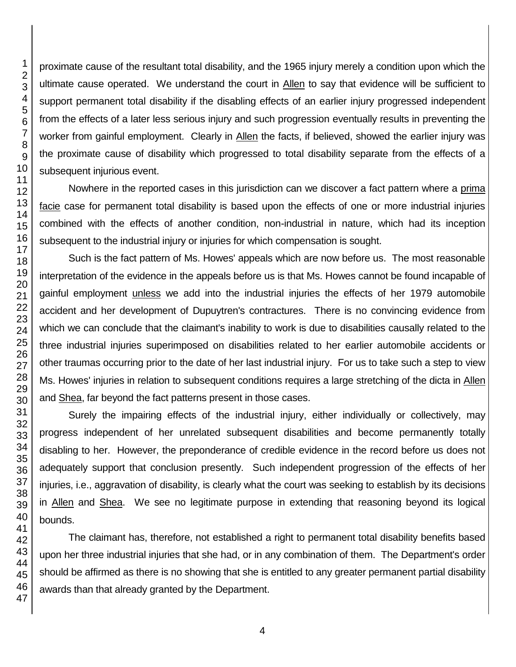proximate cause of the resultant total disability, and the 1965 injury merely a condition upon which the ultimate cause operated. We understand the court in Allen to say that evidence will be sufficient to support permanent total disability if the disabling effects of an earlier injury progressed independent from the effects of a later less serious injury and such progression eventually results in preventing the worker from gainful employment. Clearly in Allen the facts, if believed, showed the earlier injury was the proximate cause of disability which progressed to total disability separate from the effects of a subsequent injurious event.

Nowhere in the reported cases in this jurisdiction can we discover a fact pattern where a prima facie case for permanent total disability is based upon the effects of one or more industrial injuries combined with the effects of another condition, non-industrial in nature, which had its inception subsequent to the industrial injury or injuries for which compensation is sought.

Such is the fact pattern of Ms. Howes' appeals which are now before us. The most reasonable interpretation of the evidence in the appeals before us is that Ms. Howes cannot be found incapable of gainful employment unless we add into the industrial injuries the effects of her 1979 automobile accident and her development of Dupuytren's contractures. There is no convincing evidence from which we can conclude that the claimant's inability to work is due to disabilities causally related to the three industrial injuries superimposed on disabilities related to her earlier automobile accidents or other traumas occurring prior to the date of her last industrial injury. For us to take such a step to view Ms. Howes' injuries in relation to subsequent conditions requires a large stretching of the dicta in Allen and Shea, far beyond the fact patterns present in those cases.

Surely the impairing effects of the industrial injury, either individually or collectively, may progress independent of her unrelated subsequent disabilities and become permanently totally disabling to her. However, the preponderance of credible evidence in the record before us does not adequately support that conclusion presently. Such independent progression of the effects of her injuries, i.e., aggravation of disability, is clearly what the court was seeking to establish by its decisions in Allen and Shea. We see no legitimate purpose in extending that reasoning beyond its logical bounds.

The claimant has, therefore, not established a right to permanent total disability benefits based upon her three industrial injuries that she had, or in any combination of them. The Department's order should be affirmed as there is no showing that she is entitled to any greater permanent partial disability awards than that already granted by the Department.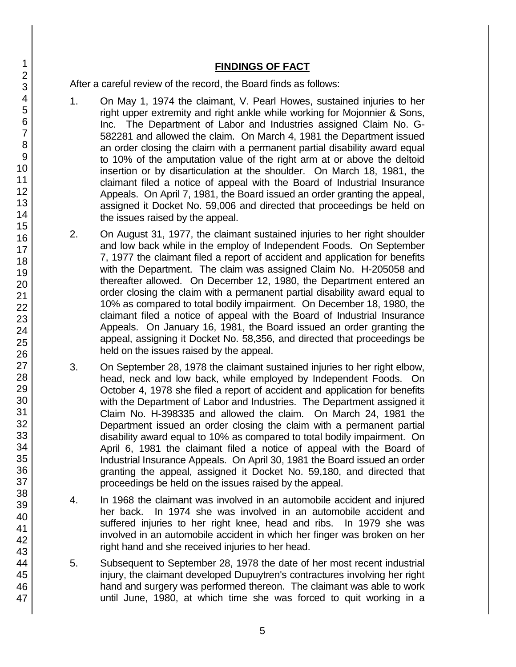## **FINDINGS OF FACT**

After a careful review of the record, the Board finds as follows:

- 1. On May 1, 1974 the claimant, V. Pearl Howes, sustained injuries to her right upper extremity and right ankle while working for Mojonnier & Sons, Inc. The Department of Labor and Industries assigned Claim No. G-582281 and allowed the claim. On March 4, 1981 the Department issued an order closing the claim with a permanent partial disability award equal to 10% of the amputation value of the right arm at or above the deltoid insertion or by disarticulation at the shoulder. On March 18, 1981, the claimant filed a notice of appeal with the Board of Industrial Insurance Appeals. On April 7, 1981, the Board issued an order granting the appeal, assigned it Docket No. 59,006 and directed that proceedings be held on the issues raised by the appeal.
- 2. On August 31, 1977, the claimant sustained injuries to her right shoulder and low back while in the employ of Independent Foods. On September 7, 1977 the claimant filed a report of accident and application for benefits with the Department. The claim was assigned Claim No. H-205058 and thereafter allowed. On December 12, 1980, the Department entered an order closing the claim with a permanent partial disability award equal to 10% as compared to total bodily impairment. On December 18, 1980, the claimant filed a notice of appeal with the Board of Industrial Insurance Appeals. On January 16, 1981, the Board issued an order granting the appeal, assigning it Docket No. 58,356, and directed that proceedings be held on the issues raised by the appeal.
- 3. On September 28, 1978 the claimant sustained injuries to her right elbow, head, neck and low back, while employed by Independent Foods. On October 4, 1978 she filed a report of accident and application for benefits with the Department of Labor and Industries. The Department assigned it Claim No. H-398335 and allowed the claim. On March 24, 1981 the Department issued an order closing the claim with a permanent partial disability award equal to 10% as compared to total bodily impairment. On April 6, 1981 the claimant filed a notice of appeal with the Board of Industrial Insurance Appeals. On April 30, 1981 the Board issued an order granting the appeal, assigned it Docket No. 59,180, and directed that proceedings be held on the issues raised by the appeal.
- 4. In 1968 the claimant was involved in an automobile accident and injured her back. In 1974 she was involved in an automobile accident and suffered injuries to her right knee, head and ribs. In 1979 she was involved in an automobile accident in which her finger was broken on her right hand and she received injuries to her head.
- 5. Subsequent to September 28, 1978 the date of her most recent industrial injury, the claimant developed Dupuytren's contractures involving her right hand and surgery was performed thereon. The claimant was able to work until June, 1980, at which time she was forced to quit working in a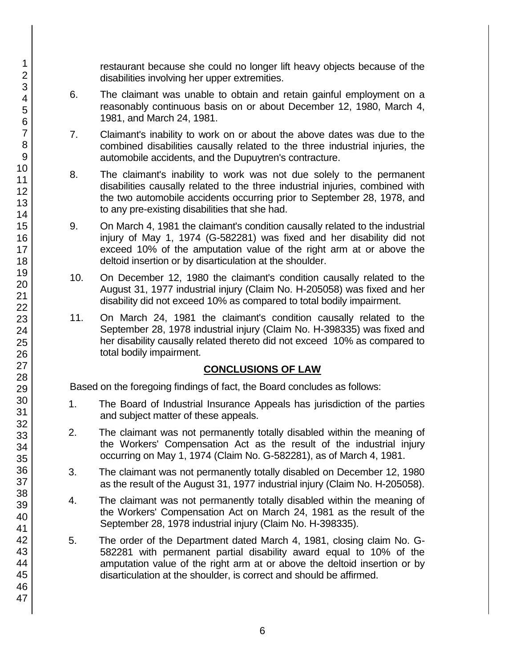restaurant because she could no longer lift heavy objects because of the disabilities involving her upper extremities.

- 6. The claimant was unable to obtain and retain gainful employment on a reasonably continuous basis on or about December 12, 1980, March 4, 1981, and March 24, 1981.
- 7. Claimant's inability to work on or about the above dates was due to the combined disabilities causally related to the three industrial injuries, the automobile accidents, and the Dupuytren's contracture.
- 8. The claimant's inability to work was not due solely to the permanent disabilities causally related to the three industrial injuries, combined with the two automobile accidents occurring prior to September 28, 1978, and to any pre-existing disabilities that she had.
- 9. On March 4, 1981 the claimant's condition causally related to the industrial injury of May 1, 1974 (G-582281) was fixed and her disability did not exceed 10% of the amputation value of the right arm at or above the deltoid insertion or by disarticulation at the shoulder.
- 10. On December 12, 1980 the claimant's condition causally related to the August 31, 1977 industrial injury (Claim No. H-205058) was fixed and her disability did not exceed 10% as compared to total bodily impairment.
- 11. On March 24, 1981 the claimant's condition causally related to the September 28, 1978 industrial injury (Claim No. H-398335) was fixed and her disability causally related thereto did not exceed 10% as compared to total bodily impairment.

## **CONCLUSIONS OF LAW**

Based on the foregoing findings of fact, the Board concludes as follows:

- 1. The Board of Industrial Insurance Appeals has jurisdiction of the parties and subject matter of these appeals.
- 2. The claimant was not permanently totally disabled within the meaning of the Workers' Compensation Act as the result of the industrial injury occurring on May 1, 1974 (Claim No. G-582281), as of March 4, 1981.
- 3. The claimant was not permanently totally disabled on December 12, 1980 as the result of the August 31, 1977 industrial injury (Claim No. H-205058).
- 4. The claimant was not permanently totally disabled within the meaning of the Workers' Compensation Act on March 24, 1981 as the result of the September 28, 1978 industrial injury (Claim No. H-398335).
- 5. The order of the Department dated March 4, 1981, closing claim No. G-582281 with permanent partial disability award equal to 10% of the amputation value of the right arm at or above the deltoid insertion or by disarticulation at the shoulder, is correct and should be affirmed.